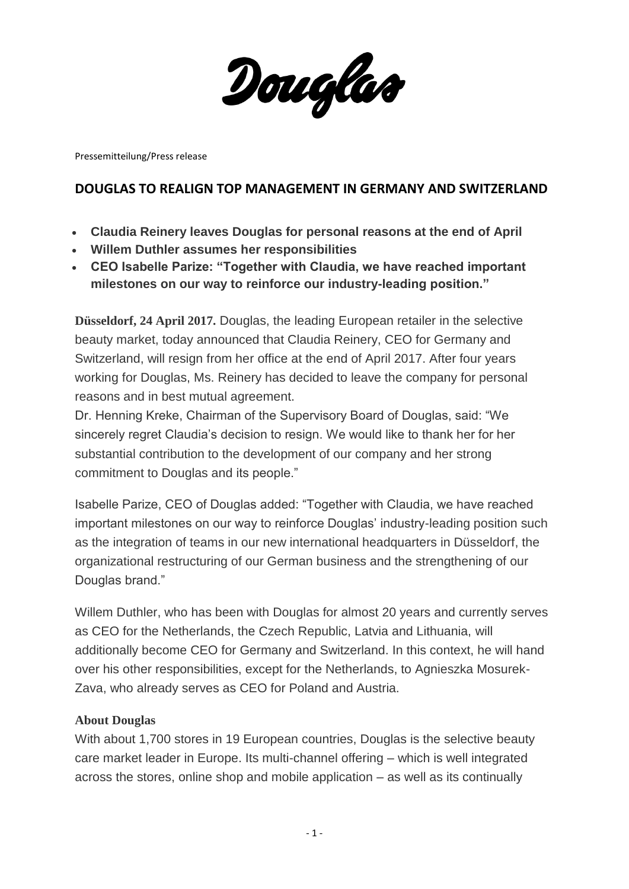Douglas

Pressemitteilung/Press release

## **DOUGLAS TO REALIGN TOP MANAGEMENT IN GERMANY AND SWITZERLAND**

- **Claudia Reinery leaves Douglas for personal reasons at the end of April**
- **Willem Duthler assumes her responsibilities**
- **CEO Isabelle Parize: "Together with Claudia, we have reached important milestones on our way to reinforce our industry-leading position."**

**Düsseldorf, 24 April 2017.** Douglas, the leading European retailer in the selective beauty market, today announced that Claudia Reinery, CEO for Germany and Switzerland, will resign from her office at the end of April 2017. After four years working for Douglas, Ms. Reinery has decided to leave the company for personal reasons and in best mutual agreement.

Dr. Henning Kreke, Chairman of the Supervisory Board of Douglas, said: "We sincerely regret Claudia's decision to resign. We would like to thank her for her substantial contribution to the development of our company and her strong commitment to Douglas and its people."

Isabelle Parize, CEO of Douglas added: "Together with Claudia, we have reached important milestones on our way to reinforce Douglas' industry-leading position such as the integration of teams in our new international headquarters in Düsseldorf, the organizational restructuring of our German business and the strengthening of our Douglas brand."

Willem Duthler, who has been with Douglas for almost 20 years and currently serves as CEO for the Netherlands, the Czech Republic, Latvia and Lithuania, will additionally become CEO for Germany and Switzerland. In this context, he will hand over his other responsibilities, except for the Netherlands, to Agnieszka Mosurek-Zava, who already serves as CEO for Poland and Austria.

## **About Douglas**

With about 1,700 stores in 19 European countries, Douglas is the selective beauty care market leader in Europe. Its multi-channel offering – which is well integrated across the stores, online shop and mobile application – as well as its continually